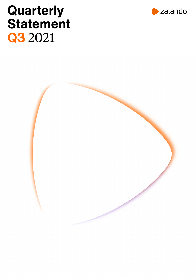# **Quarterly Statement Q3** 2021



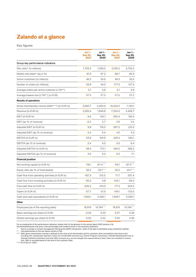# **Zalando at a glance**

Key figures

|                                                | Jul 1 –<br>Sep 30,<br>2021 | Jul 1 -<br>Sep 30,<br>2020 | Jan 1 -<br>Sep 30,<br>2021 | Jan 1 -<br>Sep 30,<br>2020 |
|------------------------------------------------|----------------------------|----------------------------|----------------------------|----------------------------|
| Group key performance indicators               |                            |                            |                            |                            |
| Site visits* (in millions)                     | 1,703.3                    | 1,268.5                    | 5,100.2                    | 3,702.2                    |
| Mobile visit share* (as a %)                   | 91.0                       | 87.2                       | 88.7                       | 85.9                       |
| Active customers (in millions)                 | 46.3                       | 35.6                       | 46.3                       | 35.6                       |
| Number of orders (in millions)                 | 55.8                       | 44.0                       | 177.3                      | 127.5                      |
| Average orders per active customer (LTM**)     | 5.1                        | 4.8                        | 5.1                        | 4.8                        |
| Average basket size (LTM**) (in EUR)           | 57.5                       | 57.2                       | 57.5                       | 57.2                       |
| <b>Results of operations</b>                   |                            |                            |                            |                            |
| Gross merchandise volume (GMV***) (in EUR m)   | 3,082.7                    | 2,460.9                    | 10,020.0                   | 7,194.1                    |
| Revenue (in EUR m)                             | 2,283.4                    | 1,849.8                    | 7,254.3                    | 5,408.7                    |
| EBIT (in EUR m)                                | $-4.6$                     | 105.1                      | 260.4                      | 190.4                      |
| EBIT (as % of revenue)                         | $-0.2$                     | 5.7                        | 3.6                        | 3.5                        |
| Adjusted EBIT (in EUR m)                       | 9.8                        | 118.2                      | 287.2                      | 231.5                      |
| Adjusted EBIT (as % of revenue)                | 0.4                        | 6.4                        | 4.0                        | 4.3                        |
| EBITDA (in EUR m)                              | 53.9                       | 156.9                      | 429.4                      | 345.1                      |
| EBITDA (as % of revenue)                       | 2.4                        | 8.5                        | 5.9                        | 6.4                        |
| Adjusted EBITDA (in EUR m)                     | 68.3                       | 170.1                      | 456.2                      | 386.2                      |
| Adjusted EBITDA (as % of revenue)              | 3.0                        | 9.2                        | 6.3                        | 7.1                        |
| <b>Financial position</b>                      |                            |                            |                            |                            |
| Net working capital (in EUR m)                 | 118.1                      | $-87.4***$                 | 118.1                      | $-87.4***$                 |
| Equity ratio (as % of total assets)            | 32.2                       | 33.1****                   | 32.2                       | 33.1****                   |
| Cash flow from operating activities (in EUR m) | $-187.3$                   | 212.5                      | 71.7                       | 337.4                      |
| Cash flow from investing activities (in EUR m) | $-60.5$                    | 0.8                        | $-152.1$                   | $-84.2$                    |
| Free cash flow (in EUR m)                      | $-245.0$                   | 213.3                      | $-77.4$                    | 253.2                      |
| Capex (in EUR m)                               | $-57.7$                    | $-31.9$                    | $-149.1$                   | $-123.0$                   |
| Cash and cash equivalents (in EUR m)           | 1,949.1                    | 2,596.1                    | 1,949.1                    | 2,596.1                    |
| Other                                          |                            |                            |                            |                            |
| Employees (as of the reporting date)           | 16,619                     | 14,194****                 | 16,619                     | 14,194****                 |
| Basic earnings per share (in EUR)              | $-0.03$                    | 0.23                       | 0.57                       | 0.38                       |
| Diluted earnings per share (in EUR)            | $-0.03$                    | 0.22                       | 0.55                       | 0.36                       |

For an explanation of the performance indicators, please refer to the glossary to the annual report 2020 (section 4.3).<br>
Rounding differences may arise in the percentages and numbers shown in this quarterly statement.<br>
The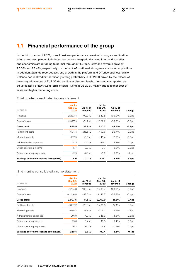# **1.1 Financial performance of the group**

In the third quarter of 2021, overall business performance remained strong as vaccination efforts progress, pandemic-induced restrictions are gradually being lifted and societies and economies are returning to normal throughout Europe. GMV and revenue grew by 25.3% and 23.4%, respectively, on the back of continued strong new customer acquisitions. In addition, Zalando recorded a strong growth in the platform and Offprice business. While Zalando had realized extraordinarily strong profitability in Q3 2020 driven by the release of inventory allowances of EUR 35.0m and lower discount levels, the company reported an adjusted EBIT of EUR 9.8m (EBIT of EUR -4.6m) in Q3 2021, mainly due to higher cost of sales and higher marketing costs.

| IN EUR M                                  | Jul 1 $-$<br>Sep 30,<br>2021 | As % of<br>revenue | Jul 1 -<br>Sep 30,<br>2020 | As % of<br>revenue | Change            |
|-------------------------------------------|------------------------------|--------------------|----------------------------|--------------------|-------------------|
| Revenue                                   | 2,283.4                      | 100.0%             | 1,849.8                    | 100.0%             | 0.0 <sub>pp</sub> |
| Cost of sales                             | $-1,397.9$                   | $-61.2%$           | $-1,029.2$                 | $-55.6%$           | $-5.6pp$          |
| <b>Gross profit</b>                       | 885.5                        | 38.8%              | 820.7                      | 44.4%              | $-5.6pp$          |
| <b>Fulfillment costs</b>                  | $-604.4$                     | $-26.5%$           | $-493.0$                   | $-26.7%$           | 0.2 <sub>pp</sub> |
| Marketing costs                           | $-197.5$                     | $-8.6\%$           | $-145.4$                   | $-7.9%$            | $-0.8$ pp         |
| Administrative expenses                   | $-91.1$                      | $-4.0%$            | $-80.1$                    | $-4.3%$            | 0.3 <sub>pp</sub> |
| Other operating income                    | 5.7                          | $0.3\%$            | 3.7                        | $0.2\%$            | 0.0 <sub>pp</sub> |
| Other operating expenses                  | $-2.9$                       | $-0.1%$            | $-0.9$                     | $0.0\%$            | $-0.1$ pp         |
| Earnings before interest and taxes (EBIT) | -4.6                         | $-0.2%$            | 105.1                      | 5.7%               | $-5.9pp$          |
|                                           |                              |                    |                            |                    |                   |

Third quarter consolidated income statement

### Nine months consolidated income statement

| IN EUR M                                  | $Jan 1 -$<br>Sep 30,<br>2021 | As % of<br>revenue | Jan 1 -<br>Sep 30,<br>2020 | As % of<br>revenue | Change            |
|-------------------------------------------|------------------------------|--------------------|----------------------------|--------------------|-------------------|
| Revenue                                   | 7,254.3                      | 100.0%             | 5,408.7                    | 100.0%             | 0.0 <sub>pp</sub> |
| Cost of sales                             | $-4,246.8$                   | $-58.5%$           | $-3,146.7$                 | $-58.2%$           | $-0.4$ pp         |
| <b>Gross profit</b>                       | 3,007.5                      | 41.5%              | 2,262.0                    | 41.8%              | $-0.4pp$          |
| <b>Fulfillment costs</b>                  | $-1,837.2$                   | $-25.3%$           | $-1,466.3$                 | $-27.1%$           | 1.8 <sub>pp</sub> |
| Marketing costs                           | $-638.2$                     | $-8.8%$            | $-374.2$                   | $-6.9%$            | $-1.9$ pp         |
| Administrative expenses                   | $-291.0$                     | $-4.0%$            | $-245.9$                   | $-4.5%$            | 0.5 <sub>pp</sub> |
| Other operating income                    | 25.6                         | $0.4\%$            | 19.3                       | $0.4\%$            | 0.0 <sub>pp</sub> |
| Other operating expenses                  | $-6.3$                       | $-0.1%$            | $-4.5$                     | $-0.1%$            | 0.0 <sub>pp</sub> |
| Earnings before interest and taxes (EBIT) | 260.4                        | 3.6%               | 190.4                      | 3.5%               | 0.1 <sub>pp</sub> |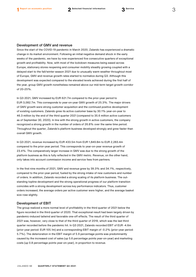#### Development of GMV and revenue

Since the start of the COVID-19 pandemic in March 2020, Zalando has experienced a dramatic change in its market environment. Following an initial negative demand shock in the early weeks of the pandemic, we have by now experienced five consecutive quarters of exceptional growth and profitability. Now, with most of the lockdown measures being eased across Europe, stationary stores reopening and consumer mobility steadily growing coupled with a delayed start to the fall/winter season 2021 due to unusually warm weather throughout most of Europe, GMV and revenue growth rates started to normalize during Q3. Although this development was expected compared to the elevated levels achieved during the first half of the year, group GMV growth nonetheless remained above our mid-term target growth corridor of 20-25%.

In Q3 2021, GMV increased by EUR 621.7m compared to the prior-year period to EUR 3,082.7m. This corresponds to year-on-year GMV growth of 25.3%. The major drivers of GMV growth were strong customer acquisition and the continued positive development of existing customers. Zalando grew its active customer base by 30.1% year-on-year to 46.3 million by the end of the third quarter 2021 (compared to 35.6 million active customers as of September 30, 2020). In line with the strong growth in active customers, the company recognized a strong growth in the number of orders of 26.8% over the same time period. Throughout the quarter, Zalando's platform business developed strongly and grew faster than overall GMV growth.

In Q3 2021, revenue increased by EUR 433.5m from EUR 1,849.8m to EUR 2,283.4m compared to the prior-year period. This corresponds to year-on-year revenue growth of 23.4%. The comparatively larger increase in GMV was due to the strong growth of the platform business as this is fully reflected in the GMV metric. Revenue, on the other hand, only takes into account commission income and service fees from partners.

In the first nine months of 2021, GMV and revenue grew by 39.3% and 34.1%, respectively, compared to the prior-year period, fueled by the strong intake of new customers and number of orders. In addition, Zalando recorded a strong scaling of its platform business. The outstanding topline development and the strong operational progress of our platform transition coincides with a strong development across key performance indicators. Thus, customer orders increased, the average orders per active customer were higher, and the average basket size rose slightly.

#### Development of EBIT

The group realized a more normal level of profitability in the third quarter of 2021 below the figure recorded in the third quarter of 2020. That exceptional result had been largely driven by pandemic-induced tailwind and favorable one-off effects. The result of the third quarter of 2021 was, however, very close to that of the third quarter of 2019, which was the last third quarter recorded before the pandemic hit. In Q3 2021, Zalando recorded EBIT of EUR -4.6m (prior-year period: EUR 105.1m) and a corresponding EBIT margin of -0.2% (prior-year period: 5.7%). The deterioration in the EBIT margin of 5.9 percentage points was predominantly caused by the increased cost of sales (up 5.6 percentage points year-on-year) and marketing costs (up 0.8 percentage points year-on-year), in proportion to revenue.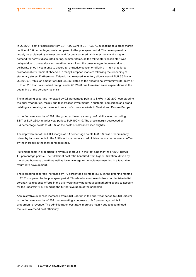In Q3 2021, cost of sales rose from EUR 1,029.2m to EUR 1,397.9m, leading to a gross margin decline of 5.6 percentage points compared to the prior-year period. The development can largely be explained by a lower demand for undiscounted fall/winter items and a higher demand for heavily discounted spring/summer items, as the fall/winter season start was delayed due to unusually warm weather. In addition, the gross margin decreased due to deliberate price investments to ensure an attractive consumer offering in light of a fierce promotional environment observed in many European markets following the reopening of stationary stores. Furthermore, Zalando had released inventory allowances of EUR 35.0m in Q3 2020. Of this, an amount of EUR 28.9m related to the exceptional inventory write-down of EUR 40.2m that Zalando had recognized in Q1 2020 due to revised sales expectations at the beginning of the coronavirus crisis.

The marketing cost ratio increased by 0.8 percentage points to 8.6% in Q3 2021 compared to the prior-year period, mainly due to increased investments in customer acquisition and brand building also relating to the recent launch of six new markets in Central and Eastern Europe.

In the first nine months of 2021 the group achieved a strong profitability level, recording EBIT of EUR 260.4m (prior-year period: EUR 190.4m). The gross margin decreased by 0.4 percentage points to 41.5% as the costs of sales increased slightly.

The improvement of the EBIT margin of 0.1 percentage points to 3.6% was predominantly driven by improvements in the fulfillment cost ratio and administrative cost ratio, almost offset by the increase in the marketing cost ratio.

Fulfillment costs in proportion to revenue improved in the first nine months of 2021 (down 1.8 percentage points). The fulfillment cost ratio benefited from higher utilization, driven by the strong business growth as well as lower average return volumes resulting in a favorable return rate development.

The marketing cost ratio increased by 1.9 percentage points to 8.8% in the first nine months of 2021 compared to the prior-year period. This development results from our decisive initial coronavirus response efforts in the prior year involving a reduced marketing spend to account for the uncertainty surrounding the further evolution of the pandemic.

Administrative expenses increased from EUR 245.9m in the prior-year period to EUR 291.0m in the first nine months of 2021, representing a decrease of 0.5 percentage points in proportion to revenue. The administration cost ratio improved mainly due to a continued focus on overhead cost efficiency.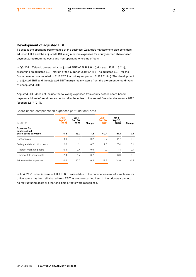#### Development of adjusted EBIT

To assess the operating performance of the business, Zalando's management also considers adjusted EBIT and the adjusted EBIT margin before expenses for equity-settled share-based payments, restructuring costs and non-operating one-time effects.

In Q3 2021, Zalando generated an adjusted EBIT of EUR 9.8m (prior year: EUR 118.2m), presenting an adjusted EBIT margin of 0.4% (prior year: 6.4%). The adjusted EBIT for the first nine months amounted to EUR 287.2m (prior-year period: EUR 231.5m). The development of adjusted EBIT and the adjusted EBIT margin mainly stems from the aforementioned drivers of unadjusted EBIT.

Adjusted EBIT does not include the following expenses from equity-settled share-based payments. More information can be found in the notes to the annual financial statements 2020 (section 3.5.7 (21.)).

| IN EUR M                                                      | $Jul$ 1 -<br>Sep 30,<br>2021 | Jul 1 -<br>Sep 30,<br>2020 | Change | <b>Jan 1 -</b><br><b>Sep 30,</b><br>2021 | <b>Jan 1 -</b><br>Sep 30,<br>2020 | Change |
|---------------------------------------------------------------|------------------------------|----------------------------|--------|------------------------------------------|-----------------------------------|--------|
| <b>Expenses for</b><br>equity-settled<br>share-based payments | 14.3                         | 13.2                       | 1.1    | 40.4                                     | 41.1                              | $-0.7$ |
| Cost of sales                                                 | 1.0                          | 0.8                        | 0.2    | 2.7                                      | 2.7                               | 0.0    |
| Selling and distribution costs                                | 2.8                          | 2.1                        | 0.7    | 7.8                                      | 7.4                               | 0.4    |
| thereof marketing costs                                       | 0.4                          | 0.4                        | 0.0    | 1.0                                      | 1.4                               | $-0.4$ |
| thereof fulfillment costs                                     | 2.4                          | 1.7                        | 0.7    | 6.8                                      | 6.0                               | 0.8    |
| Administrative expenses                                       | 10.6                         | 10.3                       | 0.3    | 29.8                                     | 31.0                              | $-1.2$ |

Share-based compensation expenses per functional area

In April 2021, other income of EUR 13.6m realized due to the commencement of a sublease for office space has been eliminated from EBIT as a non-recurring item. In the prior-year period, no restructuring costs or other one-time effects were recognized.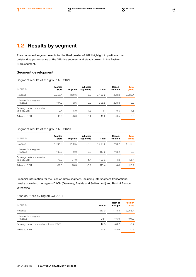# **1.2 Results by segment**

The condensed segment results for the third quarter of 2021 highlight in particular the outstanding performance of the Offprice segment and steady growth in the Fashion Store segment.

### Segment development

Segment results of the group Q3 2021

| IN EUR M                                     | <b>Fashion</b><br><b>Store</b> | <b>Offprice</b> | All other<br>segments | Total   | Recon-<br>ciliation | <b>Total</b><br>group |
|----------------------------------------------|--------------------------------|-----------------|-----------------------|---------|---------------------|-----------------------|
| Revenue                                      | 2,058.4                        | 360.6           | 73.2                  | 2.492.2 | $-208.8$            | 2,283.4               |
| thereof intersegment<br>revenue              | 194.0                          | 2.6             | 12.2                  | 208.8   | $-208.8$            | 0.0                   |
| Earnings before interest and<br>taxes (EBIT) | $-0.4$                         | $-5.0$          | 1.3                   | $-4.1$  | $-0.5$              | $-4.6$                |
| Adjusted EBIT                                | 10.9                           | $-3.0$          | 2.4                   | 10.2    | $-0.5$              | 9.8                   |

#### Segment results of the group Q3 2020

| IN EUR M                                     | <b>Fashion</b><br><b>Store</b> | <b>Offprice</b> | All other<br>segments | Total   | Recon-<br>ciliation | <b>Total</b><br>group |
|----------------------------------------------|--------------------------------|-----------------|-----------------------|---------|---------------------|-----------------------|
| Revenue                                      | 1.664.3                        | 260.5           | 43.2                  | 1.968.0 | $-118.2$            | 1,849.8               |
| thereof intersegment<br>revenue              | 108.0                          | 0.0             | 10.2                  | 118.2   | $-118.2$            | 0.0                   |
| Earnings before interest and<br>taxes (EBIT) | 78.0                           | 27.0            | $-4.7$                | 100.3   | 4.8                 | 105.1                 |
| <b>Adjusted EBIT</b>                         | 89.0                           | 28.3            | $-3.9$                | 113.4   | 4.8                 | 118.2                 |

Financial information for the Fashion Store segment, including intersegment transactions, breaks down into the regions DACH (Germany, Austria and Switzerland) and Rest of Europe as follows:

### Fashion Store by region Q3 2021

| IN EUR M                                  | <b>DACH</b> | <b>Rest of</b><br><b>Europe</b> | <b>Fashion</b><br><b>Store</b> |
|-------------------------------------------|-------------|---------------------------------|--------------------------------|
| Revenue                                   | 917.0       | 1.141.4                         | 2,058.4                        |
| thereof intersegment<br>revenue           | 78.1        | 116.0                           | 194.0                          |
| Earnings before interest and taxes (EBIT) | 47.8        | $-48.2$                         | $-0.4$                         |
| Adjusted EBIT                             | 52.5        | $-41.6$                         | 10.9                           |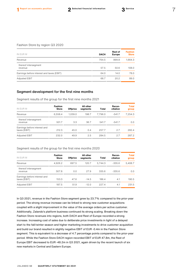#### Fashion Store by region Q3 2020

| IN EUR M                                  | <b>DACH</b> | <b>Rest of</b><br><b>Europe</b> | <b>Fashion</b><br><b>Store</b> |
|-------------------------------------------|-------------|---------------------------------|--------------------------------|
| Revenue                                   | 764.5       | 899.8                           | 1,664.3                        |
| thereof intersegment<br>revenue           | 57.5        | 50.6                            | 108.0                          |
| Earnings before interest and taxes (EBIT) | 64.0        | 14.0                            | 78.0                           |
| Adjusted EBIT                             | 68.7        | 20.2                            | 89.0                           |
|                                           |             |                                 |                                |

### Segment development for the first nine months

Segment results of the group for the first nine months 2021

| IN EUR M                                     | <b>Fashion</b><br><b>Store</b> | <b>Offprice</b> | All other<br>segments | <b>Total</b> | Recon-<br>ciliation | <b>Total</b><br>group |
|----------------------------------------------|--------------------------------|-----------------|-----------------------|--------------|---------------------|-----------------------|
| Revenue                                      | 6,558.4                        | 1,039.0         | 198.7                 | 7.796.0      | $-541.7$            | 7,254.3               |
| thereof intersegment<br>revenue              | 501.7                          | 3.3             | 36.7                  | 541.7        | $-541.7$            | 0.0                   |
| Earnings before interest and<br>taxes (EBIT) | 212.3                          | 45.0            | 0.4                   | 257.7        | 2.7                 | 260.4                 |
| Adjusted EBIT                                | 232.0                          | 49.9            | 2.5                   | 284.5        | 2.7                 | 287.2                 |

#### Segment results of the group for the first nine months 2020

| IN EUR M                                     | <b>Fashion</b><br><b>Store</b> | <b>Offprice</b> | All other<br>segments | Total   | Recon-<br>ciliation | <b>Total</b><br>group |
|----------------------------------------------|--------------------------------|-----------------|-----------------------|---------|---------------------|-----------------------|
| Revenue                                      | 4,926.2                        | 697.5           | 120.7                 | 5.744.3 | $-335.6$            | 5,408.7               |
| thereof intersegment<br>revenue              | 307.8                          | 0.0             | 27.9                  | 335.6   | $-335.6$            | 0.0                   |
| Earnings before interest and<br>taxes (EBIT) | 153.3                          | 47.6            | $-14.5$               | 186.4   | 4.1                 | 190.5                 |
| Adjusted EBIT                                | 187.5                          | 51.9            | $-12.0$               | 227.4   | 4.1                 | 231.5                 |

In Q3 2021, revenue in the Fashion Store segment grew by 23.7% compared to the prior-year period. The strong revenue increase can be linked to strong new customer acquisitions coupled with a slight improvement in the value of the average orders per active customer. Additionally, Zalando's platform business continued its strong scaling. Breaking down the Fashion Store revenues into regions, both DACH and Rest of Europe recorded a strong increase. Increasing cost of sales due to deliberate price investments in light of a delayed start to the fall/winter season and higher marketing investments to drive customer acquisition and build our brand resulted in slightly negative EBIT of EUR -0.4m in the Fashion Store segment. This is equivalent to a decrease of 4.7 percentage points compared to the prior-year period. While the Fashion Store DACH region recorded EBIT of EUR 47.8m, the Rest of Europe EBIT decreased to EUR -48.2m in Q3 2021, again driven by the recent launch of six new markets in Central and Eastern Europe.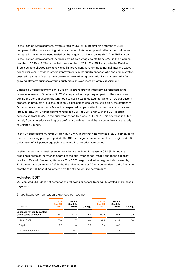In the Fashion Store segment, revenue rose by 33.1% in the first nine months of 2021 compared to the corresponding prior-year period. This development reflects the continuous increase in customer demand fueled by the ongoing offline to online shift. The EBIT margin in the Fashion Store segment increased by 0.1 percentage points from 3.1% in the first nine months of 2020 to 3.2% in the first nine months of 2021. The EBIT margin in the Fashion Store segment showed a relatively small improvement as returning to normal after the exceptional prior year. Key drivers were improvements in the fulfillment cost ratio and administrative cost ratio, almost offset by the increase in the marketing cost ratio. This is a result of a fast growing platform business offering customers an even more attractive assortment.

Zalando's Offprice segment continued on its strong growth trajectory, as reflected in the revenue increase of 38.4% in Q3 2021 compared to the prior-year period. The main driver behind the performance in the Offprice business is Zalando Lounge, which offers our customers fashion products at a discount in daily sales campaigns. At the same time, the stationary Outlet stores experienced a faster than expected ramp-up after lockdown restrictions were lifted. In total, the Offprice segment recorded EBIT of EUR -5.0m with the EBIT margin decreasing from 10.4% in the prior-year period to -1.4% in Q3 2021. This decrease resulted largely from a deterioration in gross profit margin driven by higher discount levels, especially at Zalando Lounge.

In the Offprice segment, revenue grew by 49.0% in the first nine months of 2021 compared to the corresponding prior-year period. The Offprice segment recorded an EBIT margin of 4.3%, a decrease of 2.5 percentage points compared to the prior-year period.

In all other segments total revenue recorded a significant increase of 64.6% during the first nine months of the year compared to the prior-year period, mainly due to the excellent results of Zalando Marketing Services. The EBIT margin in all other segments increased by 12.2 percentage points to 0.2% in the first nine months of 2021 in comparison to the first nine months of 2020, benefiting largely from the strong top-line performance.

#### Adjusted EBIT

Our adjusted EBIT does not comprise the following expenses from equity-settled share-based payments:

| IN EUR M                                                   | Jul 1 $-$<br>Sep 30,<br>2021 | <b>Jul 1 -</b><br>Sep 30,<br>2020 | Change | $Jan 1 -$<br>Sep 30,<br>2021 | Jan 1 -<br>Sep 30,<br>2020 | Change        |
|------------------------------------------------------------|------------------------------|-----------------------------------|--------|------------------------------|----------------------------|---------------|
| <b>Expenses for equity-settled</b><br>share-based payments | 14.3                         | 13.2                              | 1.2    | 40.4                         | 41.1                       | $-0.7$        |
| <b>Fashion Store</b>                                       | 11.3                         | 11.0                              | 0.3    | 32.3                         | 34.2                       | $-1.9$        |
| Offprice                                                   | 2.0                          | 1.3                               | 0.7    | 5.4                          | 4.3                        | 1.1           |
| All other segments                                         | 1.0                          | 0.8                               | 0.2    | 2.7                          | 2.5                        | $0.2^{\circ}$ |

Share-based compensation expenses per segment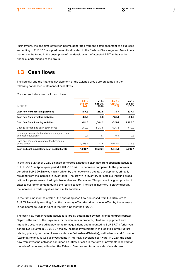Furthermore, the one-time effect for income generated from the commencement of a sublease amounting to EUR 13.6m is predominantly allocated to the Fashion Store segment. More information can be found in the description of the development of adjusted EBIT in the section financial performance of the group.

# **1.3 Cash flows**

The liquidity and the financial development of the Zalando group are presented in the following condensed statement of cash flows:

Condensed statement of cash flows

| IN EUR M                                                                | $Jul$ 1 -<br><b>Sep 30,</b><br>2021 | Jul 1 -<br>Sep 30,<br>2020 | $Jan 1 -$<br><b>Sep 30,</b><br>2021 | Jan 1 -<br>Sep 30,<br>2020 |
|-------------------------------------------------------------------------|-------------------------------------|----------------------------|-------------------------------------|----------------------------|
| Cash flow from operating activities                                     | $-187.3$                            | 212.5                      | 71.7                                | 337.4                      |
| Cash flow from investing activities                                     | $-60.5$                             | 0.8                        | $-152.1$                            | $-84.2$                    |
| Cash flow from financing activities                                     | $-111.5$                            | 1.004.2                    | $-615.4$                            | 1,366.0                    |
| Change in cash and cash equivalents                                     | -359.3                              | 1,217.5                    | $-695.8$                            | 1,619.2                    |
| Exchange-rate related and other changes in cash<br>and cash equivalents | 9.7                                 | 1.1                        | 0.9                                 | 0.3                        |
| Cash and cash equivalents at the beginning<br>of the period             | 2,298.7                             | 1.377.5                    | 2.644.0                             | 976.5                      |
| Cash and cash equivalents as of September 30                            | 1,949.1                             | 2,596.1                    | 1,949.1                             | 2,596.1                    |
|                                                                         |                                     |                            |                                     |                            |

In the third quarter of 2021, Zalando generated a negative cash flow from operating activities of EUR -187.3m (prior-year period: EUR 212.5m). The decrease compared to the prior-year period of EUR 399.8m was mainly driven by the net working capital development, primarily resulting from the increase in inventories. The growth in inventory reflects our inbound preparations for peak-season trading in November and December. This puts us in a good position to cater to customer demand during the festive season. The rise in inventory is partly offset by the increase in trade payables and similar liabilities.

In the first nine months of 2021, the operating cash flow decreased from EUR 337.4m to EUR 71.7m mainly resulting from the inventory effect described above, offset by the increase in net income to EUR 146.5m in the first nine months of 2021.

The cash flow from investing activities is largely determined by capital expenditures (capex). Capex is the sum of the payments for investments in property, plant and equipment and intangible assets excluding payments for acquisitions and amounted to EUR 57.7m (prior-year period: EUR 31.9m) in Q3 2021. It mainly included investments in the logistics infrastructure, relating primarily to the fulfillment centers in Rotterdam (Bleiswijk), Netherlands, and Szczecin (Gardno), Poland, as well as investments in internally developed software. In 2020, the cash flow from investing activities contained an inflow of cash in the form of payments received for the sale of undeveloped land on the Zalando Campus and from the sale of warehouse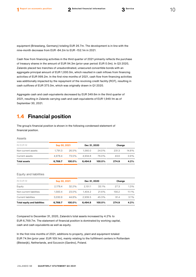equipment (Brieselang, Germany) totaling EUR 26.7m. The development is in line with the nine-month decrease from EUR -84.2m to EUR -152.1m in 2021.

Cash flow from financing activities in the third quarter of 2021 primarily reflects the purchase of treasury shares in the amount of EUR 94.3m (prior-year period: EUR 0.0m). In Q3 2020, Zalando placed two tranches of unsubordinated, unsecured convertible bonds with an aggregate principal amount of EUR 1,000.0m, which resulted in cash inflows from financing activities of EUR 999.2m. In the first nine months of 2021, cash flow from financing activities was additionally impacted by the repayment of the revolving credit facility (RCF), resulting in cash outflows of EUR 375.0m, which was originally drawn in Q1 2020.

Aggregate cash and cash equivalents decreased by EUR 349.6m in the third quarter of 2021, resulting in Zalando carrying cash and cash equivalents of EUR 1,949.1m as of September 30, 2021.

# **1.4 Financial position**

The group's financial position is shown in the following condensed statement of financial position.

#### Assets

| IN EUR M            | Sep 30, 2021 |        | Dec 31, 2020 |           | Change |         |
|---------------------|--------------|--------|--------------|-----------|--------|---------|
| Non-current assets  | 1.791.3      | 26.5%  | 1.560.0      | 24.0%     | 231.3  | 14.8%   |
| Current assets      | 4.978.4      | 73.5%  | 4.934.8      | 76.0%     | 43.6   | $0.9\%$ |
| <b>Total assets</b> | 6,769.7      | 100.0% | 6.494.8      | $100.0\%$ | 274.9  | 4.2%    |

#### Equity and liabilities

| IN EUR M                            | Sep 30, 2021 |          | Dec 31, 2020 |           | Change |       |
|-------------------------------------|--------------|----------|--------------|-----------|--------|-------|
| Equity                              | 2.178.4      | $32.2\%$ | 2.151.1      | 33.1%     | 27.3   | 1.3%  |
| Non-current liabilities             | 1.560.4      | 23.0%    | 1.404.2      | 21.6%     | 156.2  | 11.1% |
| Current liabilities                 | 3.030.9      | 44.8%    | 2.939.5      | 45.3%     | 91.4   | 3.1%  |
| <b>Total equity and liabilities</b> | 6,769.7      | 100.0%   | 6.494.8      | $100.0\%$ | 274.9  | 4.2%  |

Compared to December 31, 2020, Zalando's total assets increased by 4.2% to EUR 6,769.7m. The statement of financial position is dominated by working capital, cash and cash equivalents as well as equity.

In the first nine months of 2021, additions to property, plant and equipment totaled EUR 74.9m (prior year: EUR 109.1m), mainly relating to the fulfillment centers in Rotterdam (Bleiswijk), Netherlands, and Szczecin (Gardno), Poland.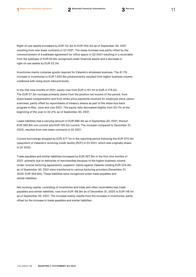Right-of-use assets increased by EUR 112.3m to EUR 592.2m as of September 30, 2021 resulting from new lease contracts in Q1 2021. The steep increase was partly offset by the commencement of a sublease agreement for office space in Q2 2021 resulting in a receivable from the sublease of EUR 65.8m recognized under financial assets and a decrease in right-of-use assets by EUR 52.2m.

Inventories mainly comprise goods required for Zalando's wholesale business. The 41.1% increase in inventories to EUR 1,920.8m predominantly resulted from higher business volume combined with rising stock inbound levels.

In the first nine months of 2021, equity rose from EUR 2,151.1m to EUR 2,178.4m. The EUR 27.3m increase primarily stems from the positive net income of the period, from share-based compensation and from strike price payments received for employee stock option exercises, partly offset by repurchases of treasury shares as part of the share buy-back program in May, June and July 2021. The equity ratio decreased slightly from 33.1% at the beginning of the year to 32.2% as of September 30, 2021.

Lease liabilities had a carrying amount of EUR 686.4m as of September 30, 2021, thereof EUR 585.8m non-current and EUR 100.5m current. The increase compared to December 31, 2020, resulted from new lease contracts in Q1 2021.

Current borrowings dropped by EUR 377.1m in the reporting period following the EUR 375.0m repayment of Zalando's revolving credit facility (RCF) in Q1 2021, which was originally drawn in Q1 2020.

Trade payables and similar liabilities increased by EUR 397.8m in the first nine months of 2021, primarily due to deliveries of merchandise because of the higher business volume. Under reverse factoring agreements, suppliers' claims against Zalando totaling EUR 524.4m as of September 30, 2021 were transferred to various factoring providers (December 31, 2020: EUR 449.8m). These liabilities were recognized under trade payables and similar liabilities.

Net working capital, consisting of inventories and trade and other receivables less trade payables and similar liabilities, rose from EUR -86.8m as of December 31, 2020 to EUR 118.1m as of September 30, 2021. The increase mainly results from the increase in inventories, partly offset by the increase in trade payables and similar liabilities.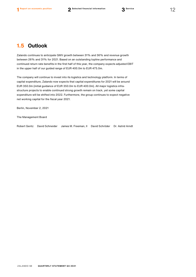# **1.5 Outlook**

Zalando continues to anticipate GMV growth between 31% and 36% and revenue growth between 26% and 31% for 2021. Based on an outstanding topline performance and continued return rate benefits in the first half of this year, the company expects adjusted EBIT in the upper half of our guided range of EUR 400.0m to EUR 475.0m.

The company will continue to invest into its logistics and technology platform. In terms of capital expenditure, Zalando now expects that capital expenditures for 2021 will be around EUR 350.0m (initial guidance of EUR 350.0m to EUR 400.0m). All major logistics infrastructure projects to enable continued strong growth remain on track, yet some capital expenditure will be shifted into 2022. Furthermore, the group continues to expect negative net working capital for the fiscal year 2021.

Berlin, November 2, 2021

The Management Board

Robert Gentz David Schneider James M. Freeman, II David Schröder Dr. Astrid Arndt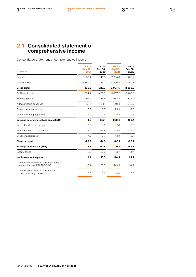# **2.1 Consolidated statement of comprehensive income**

Consolidated statement of comprehensive income

| IN EUR M                                                             | Jul $1 -$<br><b>Sep 30,</b><br>2021 | Jul $1 -$<br>Sep 30,<br>2020 | $Jan 1 -$<br><b>Sep 30,</b><br>2021 | Jan 1 -<br>Sep 30,<br>2020 |
|----------------------------------------------------------------------|-------------------------------------|------------------------------|-------------------------------------|----------------------------|
| Revenue                                                              | 2,283.4                             | 1,849.8                      | 7,254.3                             | 5,408.7                    |
| Cost of sales                                                        | $-1,397.9$                          | $-1,029.2$                   | $-4,246.8$                          | $-3,146.7$                 |
| <b>Gross profit</b>                                                  | 885.5                               | 820.7                        | 3,007.5                             | 2,262.0                    |
| <b>Fulfillment costs</b>                                             | $-604.4$                            | $-493.0$                     | $-1,837.2$                          | $-1,466.3$                 |
| Marketing costs                                                      | $-197.5$                            | $-145.4$                     | $-638.2$                            | $-374.2$                   |
| Administrative expenses                                              | $-91.1$                             | $-80.1$                      | $-291.0$                            | $-245.9$                   |
| Other operating income                                               | 5.7                                 | 3.7                          | 25.6                                | 19.3                       |
| Other operating expenses                                             | $-2.9$                              | $-0.9$                       | $-6.3$                              | $-4.5$                     |
| Earnings before interest and taxes (EBIT)                            | $-4.6$                              | 105.1                        | 260.4                               | 190.4                      |
| Interest and similar income                                          | 0.9                                 | 1.9                          | 2.8                                 | 5.6                        |
| Interest and similar expenses                                        | $-14.6$                             | $-15.6$                      | $-44.0$                             | $-32.6$                    |
| Other financial result                                               | $-7.0$                              | $-0.7$                       | $-18.9$                             | $-8.7$                     |
| <b>Financial result</b>                                              | $-20.7$                             | $-14.3$                      | $-60.1$                             | $-35.7$                    |
| Earnings before taxes (EBT)                                          | $-25.3$                             | 90.8                         | 200.2                               | 154.7                      |
| Income taxes                                                         | 16.9                                | $-32.3$                      | $-53.7$                             | $-60.1$                    |
| Net income for the period                                            | $-8.4$                              | 58.5                         | 146.5                               | 94.7                       |
| thereof net income attributable to the<br>shareholders of ZALANDO SE | $-8.4$                              | 58.5                         | 146.5                               | 94.7                       |
| thereof net income attributable to<br>non-controlling interest       | 0.0                                 | 0.0                          | 0.0                                 | 0.0                        |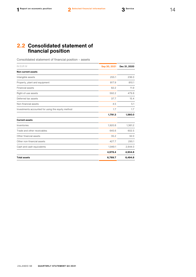## **2.2 Consolidated statement of financial position**

Consolidated statement of financial position – assets

| IN EUR M                                          | Sep 30, 2021 | Dec 31, 2020 |  |
|---------------------------------------------------|--------------|--------------|--|
| <b>Non-current assets</b>                         |              |              |  |
| Intangible assets                                 | 255.1        | 236.0        |  |
| Property, plant and equipment                     | 817.9        | 810.1        |  |
| <b>Financial assets</b>                           | 82.2         | 11.9         |  |
| Right-of-use assets                               | 592.2        | 479.8        |  |
| Deferred tax assets                               | 37.7         | 15.4         |  |
| Non-financial assets                              | 4.5          | 5.1          |  |
| Investments accounted for using the equity method | 1.7          | 1.7          |  |
|                                                   | 1,791.3      | 1,560.0      |  |
| <b>Current assets</b>                             |              |              |  |
| Inventories                                       | 1,920.8      | 1,361.2      |  |
| Trade and other receivables                       | 645.6        | 602.5        |  |
| Other financial assets                            | 35.2         | 32.0         |  |
| Other non-financial assets                        | 427.7        | 295.1        |  |
| Cash and cash equivalents                         | 1,949.1      | 2,644.0      |  |
|                                                   | 4,978.4      | 4,934.8      |  |
| <b>Total assets</b>                               | 6,769.7      | 6,494.8      |  |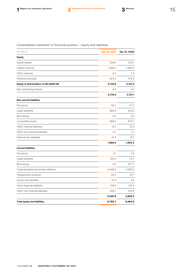### Consolidated statement of financial position – equity and liabilities

| IN EUR M                               | Sep 30, 2021 | Dec 31, 2020 |
|----------------------------------------|--------------|--------------|
| <b>Equity</b>                          |              |              |
| Issued capital                         | 258.6        | 253.1        |
| Capital reserves                       | 1,299.2      | 1,428.9      |
| Other reserves                         | $-2.5$       | $-7.3$       |
| Retained earnings                      | 623.3        | 476.6        |
| Equity of shareholders of ZALANDO SE   | 2,178.6      | 2,151.3      |
| Non-controlling interest               | $-0.2$       | $-0.2$       |
|                                        | 2,178.4      | 2,151.1      |
| <b>Non-current liabilities</b>         |              |              |
| Provisions                             | 46.7         | 47.7         |
| Lease liabilities                      | 585.8        | 443.0        |
| Borrowings                             | 0.0          | 0.0          |
| Convertible bonds                      | 889.6        | 873.7        |
| Other financial liabilities            | 12.2         | 15.6         |
| Other non-financial liabilities        | 4.7          | 5.1          |
| Deferred tax liabilities               | 21.3         | 19.1         |
|                                        | 1,560.4      | 1,404.2      |
| <b>Current liabilities</b>             |              |              |
| Provisions                             | 0.1          | 0.5          |
| Lease liabilities                      | 100.5        | 73.7         |
| Borrowings                             | 0.6          | 377.7        |
| Trade payables and similar liabilities | 2,448.3      | 2,050.5      |
| Prepayments received                   | 62.3         | 47.1         |
| Income tax liabilities                 | 21.3         | 9.6          |
| Other financial liabilities            | 139.0        | 145.6        |
| Other non-financial liabilities        | 258.7        | 234.8        |
|                                        | 3,030.9      | 2,939.5      |
| <b>Total equity and liabilities</b>    | 6,769.7      | 6,494.8      |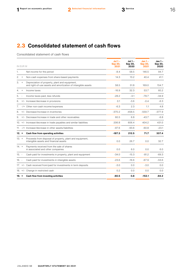# **2.3 Consolidated statement of cash flows**

Consolidated statement of cash flows

|         | IN EUR M |                                                                                                                 | Jul 1 –<br><b>Sep 30,</b><br>2021 | Jul 1 -<br>Sep 30,<br>2020 | $Jan 1 -$<br>Sep 30,<br>2021 | Jan 1 -<br>Sep 30,<br>2020 |
|---------|----------|-----------------------------------------------------------------------------------------------------------------|-----------------------------------|----------------------------|------------------------------|----------------------------|
| 1.      |          | Net income for the period                                                                                       | $-8.4$                            | 58.5                       | 146.5                        | 94.7                       |
| 2.      | $^{+}$   | Non-cash expenses from share-based payments                                                                     | 14.3                              | 13.2                       | 40.4                         | 41.1                       |
| З.      | $^{+}$   | Depreciation of property, plant and equipment,<br>and right-of-use assets and amortization of intangible assets | 58.5                              | 51.8                       | 169.0                        | 154.7                      |
| 4.      | $+$      | Income taxes                                                                                                    | $-16.9$                           | 32.3                       | 53.7                         | 60.2                       |
| 5.      |          | Income taxes paid, less refunds                                                                                 | $-28.2$                           | $-3.1$                     | $-78.7$                      | $-34.9$                    |
| 6.      |          | +/- Increase/decrease in provisions                                                                             | 0.1                               | $-3.6$                     | $-0.4$                       | $-6.3$                     |
| 7.      |          | -/+ Other non-cash income/expenses                                                                              | $-6.3$                            | 2.3                        | 1.1                          | 4.8                        |
| 8.      |          | +/- Decrease/increase in inventories                                                                            | $-370.2$                          | $-458.5$                   | $-559.7$                     | $-377.9$                   |
| 9.      |          | +/- Decrease/increase in trade and other receivables                                                            | 60.5                              | 6.8                        | $-43.7$                      | $-6.8$                     |
|         |          | 10. +/- Increase/decrease in trade payables and similar liabilities                                             | 206.8                             | 606.4                      | 404.2                        | 431.0                      |
|         |          | 11. -/+ Increase/decrease in other assets/liabilities                                                           | $-97.6$                           | $-93.6$                    | $-60.8$                      | $-23.1$                    |
| $12. =$ |          | Cash flow from operating activities                                                                             | $-187.3$                          | 212.5                      | 71.7                         | 337.4                      |
| $13. +$ |          | Proceeds from disposal of property, plant and equipment,<br>intangible assets and financial assets              | 0.0                               | 26.7                       | 0.0                          | 32.7                       |
| $14. +$ |          | Payments received from the sale of shares<br>in associated and other companies                                  | 0.0                               | 6.0                        | 0.0                          | 6.0                        |
| $15. -$ |          | Cash paid for investments in property, plant and equipment                                                      | $-34.0$                           | $-15.3$                    | $-81.2$                      | $-69.3$                    |
| $16. -$ |          | Cash paid for investments in intangible assets                                                                  | $-23.6$                           | $-16.6$                    | $-67.9$                      | $-53.6$                    |
|         |          | 17. +/- Cash received from/paid for investments in term deposits                                                | $-3.0$                            | 0.0                        | $-3.0$                       | 0.0                        |
|         |          | 18. +/- Change in restricted cash                                                                               | 0.2                               | 0.0                        | 0.0                          | 0.0                        |
| 19. =   |          | Cash flow from investing activities                                                                             | $-60.5$                           | 0.8                        | -152.1                       | $-84.2$                    |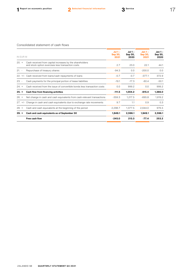### Consolidated statement of cash flows

| IN EUR M |                                                                                                               | $Jul$ 1 -<br><b>Sep 30,</b><br>2021 | $Jul$ 1 -<br>Sep 30,<br>2020 | $Jan 1 -$<br><b>Sep 30,</b><br>2021 | $Jan 1 -$<br>Sep 30,<br>2020 |
|----------|---------------------------------------------------------------------------------------------------------------|-------------------------------------|------------------------------|-------------------------------------|------------------------------|
| $20. +$  | Cash received from capital increases by the shareholders<br>and stock option exercises less transaction costs | 2.7                                 | 23.0                         | 22.1                                | 44.1                         |
| $21. -$  | Repurchase of treasury shares                                                                                 | $-94.3$                             | 0.0                          | $-200.0$                            | 0.0                          |
|          | 22. +/- Cash received from loans/cash repayments of loans                                                     | $-0.7$                              | $-0.7$                       | $-377.1$                            | 372.9                        |
| $23. -$  | Cash payments for the principal portion of lease liabilities                                                  | $-19.1$                             | $-17.3$                      | $-60.4$                             | $-50.1$                      |
| $24. +$  | Cash received from the issue of convertible bonds less transaction costs                                      | 0.0                                 | 999.2                        | 0.0                                 | 999.2                        |
| $25. =$  | Cash flow from financing activities                                                                           | $-111.5$                            | 1,004.2                      | $-615.4$                            | 1,366.0                      |
| $26. =$  | Net change in cash and cash equivalents from cash-relevant transactions                                       | $-359.3$                            | 1,217.5                      | $-695.8$                            | 1,619.2                      |
|          | 27. +/- Change in cash and cash equivalents due to exchange rate movements                                    | 9.7                                 | 1.1                          | 0.9                                 | 0.3                          |
| $28. +$  | Cash and cash equivalents at the beginning of the period                                                      | 2,298.7                             | 1,377.5                      | 2,644.0                             | 976.5                        |
| $29. =$  | Cash and cash equivalents as of September 30                                                                  | 1,949.1                             | 2,596.1                      | 1,949.1                             | 2,596.1                      |
|          | Free cash flow                                                                                                | $-245.0$                            | 213.3                        | $-77.4$                             | 253.2                        |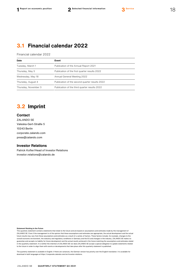## **3.1 Financial calendar 2022**

Financial calendar 2022

| Date                                                                  | Event                                          |  |  |
|-----------------------------------------------------------------------|------------------------------------------------|--|--|
| Tuesday, March 1<br>Publication of the Annual Report 2021             |                                                |  |  |
| Thursday, May 5                                                       | Publication of the first quarter results 2022  |  |  |
| Wednesday, May 18                                                     | Annual General Meeting 2022                    |  |  |
| Thursday, August 4                                                    | Publication of the second quarter results 2022 |  |  |
| Thursday, November 3<br>Publication of the third quarter results 2022 |                                                |  |  |
|                                                                       |                                                |  |  |

# **3.2 Imprint**

### **Contact**

ZALANDO SE Valeska-Gert-Straße 5 10243 Berlin [corporate.zalando.com](http://corporate.zalando.com/) [press@zalando.com](mailto:press@zalando.com)

#### **Investor Relations**

Patrick Kofler/Head of Investor Relations [investor.relations@zalando.de](mailto:investor.relations@zalando.de)

#### **Statement Relating to the Future**

This quarterly statement contains statements that relate to the future and are based on assumptions and estimates made by the management of ZALANDO SE. Even if the management is of the opinion that these assumptions and estimates are appropriate, the actual development and the actual future results may vary from these assumptions and estimates as a result of a variety of factors. These factors include, for example, changes to the overall economic environment, the statutory and regulatory conditions in Germany and the EU and changes in the industry. ZALANDO SE makes no guarantee and accepts no liability for future development and the actual results achieved in the future matching the assumptions and estimates stated in this quarterly statement. It is neither the intention of ZALANDO SE nor does ZALANDO SE accept a special obligation to update statements related to the future in order to align them with events or developments that take place after this quarterly statement is published.

The quarterly statement is available in English. If there are variances, the German version has priority over the English translation. It is available for download in both languages at [https://corporate.zalando.com/en/investor-relations.](https://corporate.zalando.com/en/investor-relations)